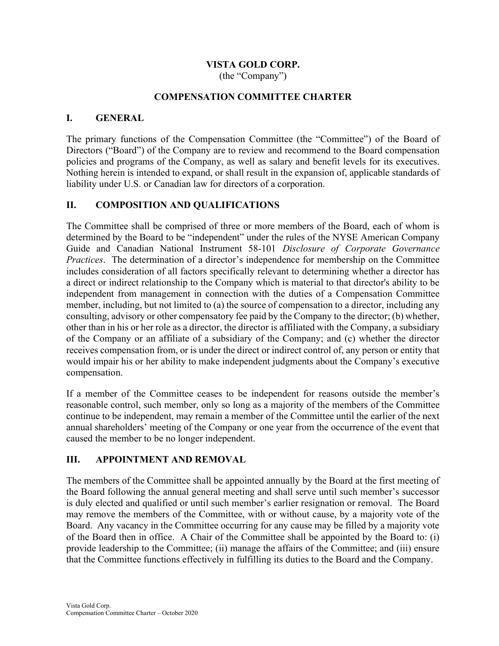# VISTA GOLD CORP.

(the "Company")

### COMPENSATION COMMITTEE CHARTER

### I. GENERAL

The primary functions of the Compensation Committee (the "Committee") of the Board of Directors ("Board") of the Company are to review and recommend to the Board compensation policies and programs of the Company, as well as salary and benefit levels for its executives. Nothing herein is intended to expand, or shall result in the expansion of, applicable standards of liability under U.S. or Canadian law for directors of a corporation.

## II. COMPOSITION AND QUALIFICATIONS

The Committee shall be comprised of three or more members of the Board, each of whom is determined by the Board to be "independent" under the rules of the NYSE American Company Guide and Canadian National Instrument 58-101 Disclosure of Corporate Governance Practices. The determination of a director's independence for membership on the Committee includes consideration of all factors specifically relevant to determining whether a director has a direct or indirect relationship to the Company which is material to that director's ability to be independent from management in connection with the duties of a Compensation Committee member, including, but not limited to (a) the source of compensation to a director, including any consulting, advisory or other compensatory fee paid by the Company to the director; (b) whether, other than in his or her role as a director, the director is affiliated with the Company, a subsidiary of the Company or an affiliate of a subsidiary of the Company; and (c) whether the director receives compensation from, or is under the direct or indirect control of, any person or entity that would impair his or her ability to make independent judgments about the Company's executive compensation.

If a member of the Committee ceases to be independent for reasons outside the member's reasonable control, such member, only so long as a majority of the members of the Committee continue to be independent, may remain a member of the Committee until the earlier of the next annual shareholders' meeting of the Company or one year from the occurrence of the event that caused the member to be no longer independent.

## III. APPOINTMENT AND REMOVAL

The members of the Committee shall be appointed annually by the Board at the first meeting of the Board following the annual general meeting and shall serve until such member's successor is duly elected and qualified or until such member's earlier resignation or removal. The Board may remove the members of the Committee, with or without cause, by a majority vote of the Board. Any vacancy in the Committee occurring for any cause may be filled by a majority vote of the Board then in office. A Chair of the Committee shall be appointed by the Board to: (i) provide leadership to the Committee; (ii) manage the affairs of the Committee; and (iii) ensure that the Committee functions effectively in fulfilling its duties to the Board and the Company.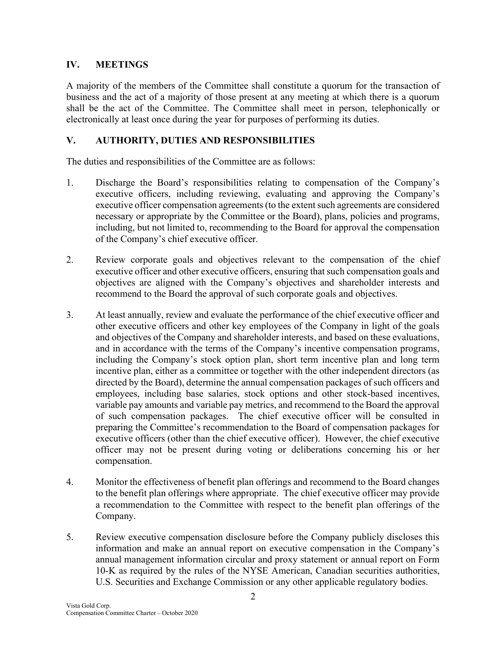# IV. MEETINGS

A majority of the members of the Committee shall constitute a quorum for the transaction of business and the act of a majority of those present at any meeting at which there is a quorum shall be the act of the Committee. The Committee shall meet in person, telephonically or electronically at least once during the year for purposes of performing its duties.

# V. AUTHORITY, DUTIES AND RESPONSIBILITIES

The duties and responsibilities of the Committee are as follows:

- 1. Discharge the Board's responsibilities relating to compensation of the Company's executive officers, including reviewing, evaluating and approving the Company's executive officer compensation agreements (to the extent such agreements are considered necessary or appropriate by the Committee or the Board), plans, policies and programs, including, but not limited to, recommending to the Board for approval the compensation of the Company's chief executive officer.
- 2. Review corporate goals and objectives relevant to the compensation of the chief executive officer and other executive officers, ensuring that such compensation goals and objectives are aligned with the Company's objectives and shareholder interests and recommend to the Board the approval of such corporate goals and objectives.
- 3. At least annually, review and evaluate the performance of the chief executive officer and other executive officers and other key employees of the Company in light of the goals and objectives of the Company and shareholder interests, and based on these evaluations, and in accordance with the terms of the Company's incentive compensation programs, including the Company's stock option plan, short term incentive plan and long term incentive plan, either as a committee or together with the other independent directors (as directed by the Board), determine the annual compensation packages of such officers and employees, including base salaries, stock options and other stock-based incentives, variable pay amounts and variable pay metrics, and recommend to the Board the approval of such compensation packages. The chief executive officer will be consulted in preparing the Committee's recommendation to the Board of compensation packages for executive officers (other than the chief executive officer). However, the chief executive officer may not be present during voting or deliberations concerning his or her compensation.
- 4. Monitor the effectiveness of benefit plan offerings and recommend to the Board changes to the benefit plan offerings where appropriate. The chief executive officer may provide a recommendation to the Committee with respect to the benefit plan offerings of the Company.
- 5. Review executive compensation disclosure before the Company publicly discloses this information and make an annual report on executive compensation in the Company's annual management information circular and proxy statement or annual report on Form 10-K as required by the rules of the NYSE American, Canadian securities authorities, U.S. Securities and Exchange Commission or any other applicable regulatory bodies.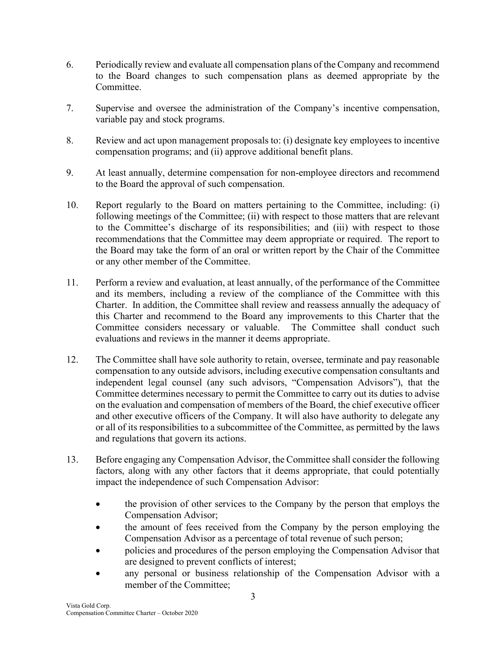- 6. Periodically review and evaluate all compensation plans of the Company and recommend to the Board changes to such compensation plans as deemed appropriate by the Committee.
- 7. Supervise and oversee the administration of the Company's incentive compensation, variable pay and stock programs.
- 8. Review and act upon management proposals to: (i) designate key employees to incentive compensation programs; and (ii) approve additional benefit plans.
- 9. At least annually, determine compensation for non-employee directors and recommend to the Board the approval of such compensation.
- 10. Report regularly to the Board on matters pertaining to the Committee, including: (i) following meetings of the Committee; (ii) with respect to those matters that are relevant to the Committee's discharge of its responsibilities; and (iii) with respect to those recommendations that the Committee may deem appropriate or required. The report to the Board may take the form of an oral or written report by the Chair of the Committee or any other member of the Committee.
- 11. Perform a review and evaluation, at least annually, of the performance of the Committee and its members, including a review of the compliance of the Committee with this Charter. In addition, the Committee shall review and reassess annually the adequacy of this Charter and recommend to the Board any improvements to this Charter that the Committee considers necessary or valuable. The Committee shall conduct such evaluations and reviews in the manner it deems appropriate.
- 12. The Committee shall have sole authority to retain, oversee, terminate and pay reasonable compensation to any outside advisors, including executive compensation consultants and independent legal counsel (any such advisors, "Compensation Advisors"), that the Committee determines necessary to permit the Committee to carry out its duties to advise on the evaluation and compensation of members of the Board, the chief executive officer and other executive officers of the Company. It will also have authority to delegate any or all of its responsibilities to a subcommittee of the Committee, as permitted by the laws and regulations that govern its actions.
- 13. Before engaging any Compensation Advisor, the Committee shall consider the following factors, along with any other factors that it deems appropriate, that could potentially impact the independence of such Compensation Advisor:
	- the provision of other services to the Company by the person that employs the Compensation Advisor;
	- the amount of fees received from the Company by the person employing the Compensation Advisor as a percentage of total revenue of such person;
	- policies and procedures of the person employing the Compensation Advisor that are designed to prevent conflicts of interest;
	- any personal or business relationship of the Compensation Advisor with a member of the Committee;